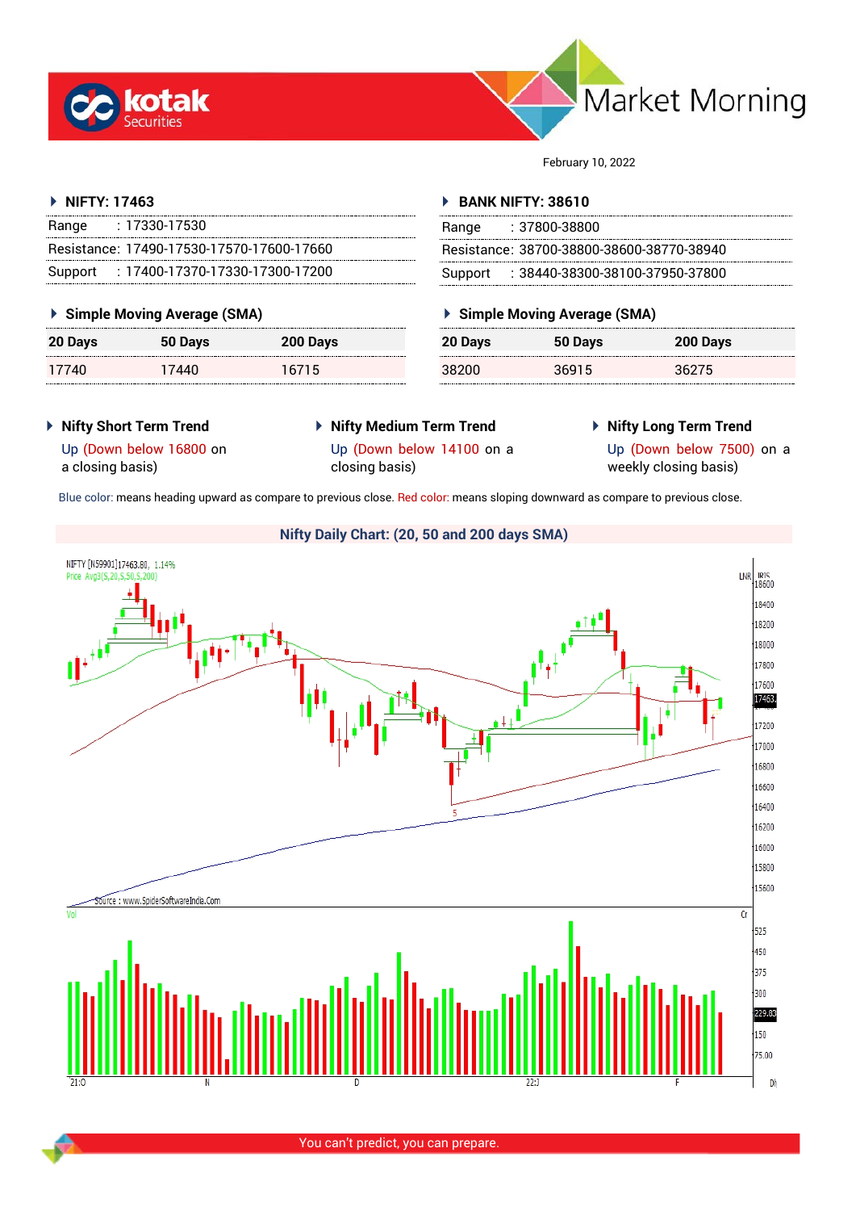



February 10, 2022

# **NIFTY: 17463**

| Range | $: 17330 - 17530$                         |
|-------|-------------------------------------------|
|       | Resistance: 17490-17530-17570-17600-17660 |
|       | Support: 17400-17370-17330-17300-17200    |

# **Simple Moving Average (SMA)**

| 20 Days | 50 Days | 200 Days |
|---------|---------|----------|
| 17740   | 17440   | 16715    |

## **BANK NIFTY: 38610**

| Range | : 37800-38800                             |
|-------|-------------------------------------------|
|       | Resistance: 38700-38800-38600-38770-38940 |
|       | Support: : 38440-38300-38100-37950-37800  |

# **Simple Moving Average (SMA)**

| 20 Days | 50 Days | 200 Days |
|---------|---------|----------|
| 38200   | 36915   | 36275    |

- **Nifty Short Term Trend**
- **Nifty Medium Term Trend**
- **Nifty Long Term Trend**

a closing basis)

Up (Down below 14100 on a closing basis)

Up (Down below 7500) on a weekly closing basis)

Up (Down below 16800 on

Blue color: means heading upward as compare to previous close. Red color: means sloping downward as compare to previous close.

# **Nifty Daily Chart: (20, 50 and 200 days SMA)**

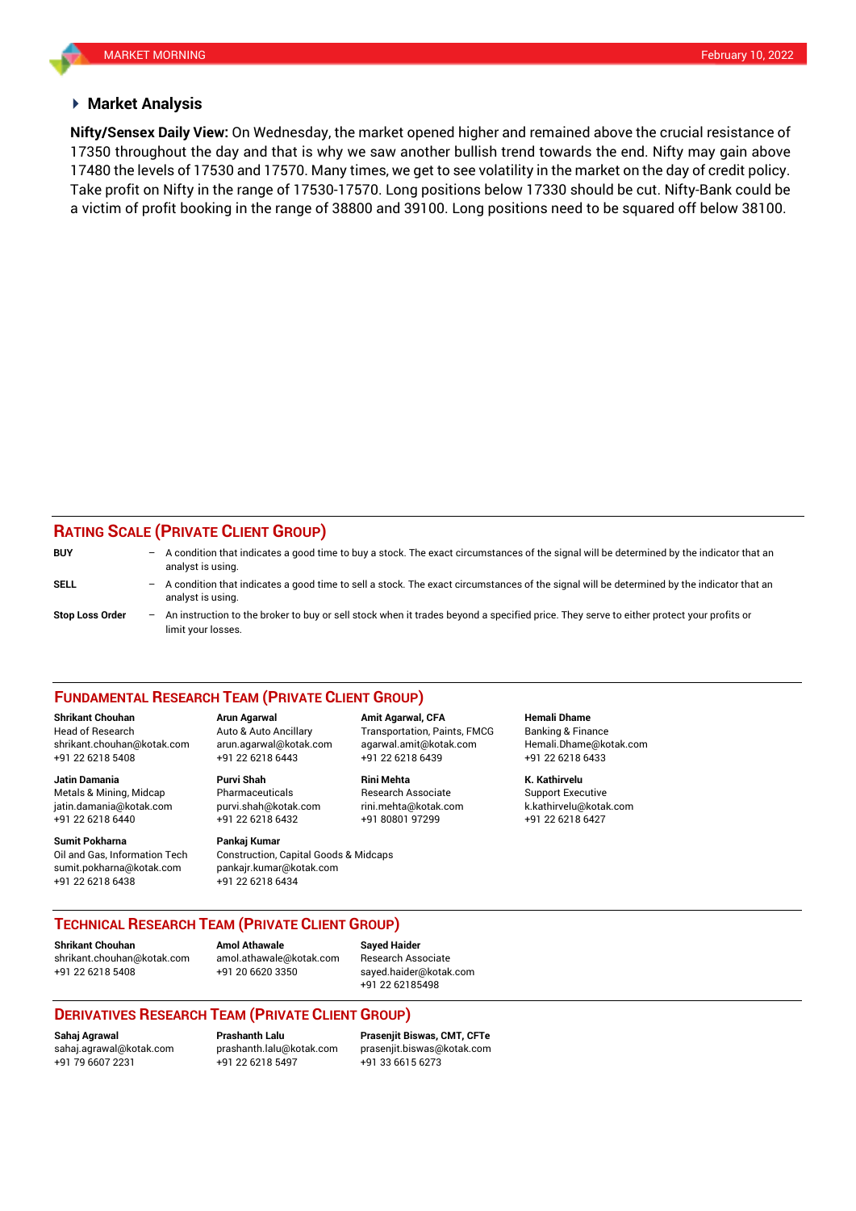#### **Market Analysis**

17350 throughout the day and that is why we saw another bullish trend towards the end. Nifty may gain above **Nifty/Sensex Daily View:** On Wednesday, the market opened higher and remained above the crucial resistance of 17480 the levels of 17530 and 17570. Many times, we get to see volatility in the market on the day of credit policy. Take profit on Nifty in the range of 17530-17570. Long positions below 17330 should be cut. Nifty-Bank could be a victim of profit booking in the range of 38800 and 39100. Long positions need to be squared off below 38100.

# **RATING SCALE (PRIVATE CLIENT GROUP)**

| <b>BUY</b>             | $\overline{\phantom{0}}$ | A condition that indicates a good time to buy a stock. The exact circumstances of the signal will be determined by the indicator that an<br>analyst is using.  |
|------------------------|--------------------------|----------------------------------------------------------------------------------------------------------------------------------------------------------------|
| <b>SELL</b>            | -                        | A condition that indicates a good time to sell a stock. The exact circumstances of the signal will be determined by the indicator that an<br>analyst is using. |
| <b>Stop Loss Order</b> | $-$                      | An instruction to the broker to buy or sell stock when it trades beyond a specified price. They serve to either protect your profits or<br>limit your losses.  |

#### **FUNDAMENTAL RESEARCH TEAM (PRIVATE CLIENT GROUP)**

Head of Research Auto & Auto Ancillary Transportation, Paints, FMCG Banking & Finance [shrikant.chouhan@kotak.com](mailto:shrikant.chouhan@kotak.com) arun.agarwal@kotak.com agarwal.amit@kotak.com Hemali.Dhame@kotak.com

**Jatin Damania Purvi Shah Rini Mehta K. Kathirvelu** Metals & Mining, Midcap Pharmaceuticals Research Associate Support Executive Research Associate jatin.damania@kotak.com [purvi.shah@kotak.com](mailto:purvi.shah@kotak.com) rini.mehta@kotak.com [k.kathirvelu@kotak.com](mailto:k.kathirvelu@kotak.com) +91 22 6218 6440 +91 22 6218 6432 +91 80801 97299 +91 22 6218 6427

Oil and Gas, Information Tech Construction, Capital Goods & Midcaps sumit.pokharna@kotak.com pankajr.kumar@kotak.com +91 22 6218 6438 +91 22 6218 6434

+91 22 6218 5408 +91 22 6218 6443 +91 22 6218 6439 +91 22 6218 6433

# **Sumit Pokharna** Pankaj Kumar

**Shrikant Chouhan Arun Agarwal Amit Agarwal, CFA Hemali Dhame**

### **TECHNICAL RESEARCH TEAM (PRIVATE CLIENT GROUP)**

**Shrikant Chouhan Amol Athawale Sayed Haider**

[shrikant.chouhan@kotak.com](mailto:shrikant.chouhan@kotak.com) [amol.athawale@kotak.com](mailto:amol.athawale@kotak.com) Research Associate +91 22 6218 5408 +91 20 6620 3350 [sayed.haider@kotak.com](mailto:sayed.haider@kotak.com)

+91 22 62185498

# **DERIVATIVES RESEARCH TEAM (PRIVATE CLIENT GROUP)**

+91 22 6218 5497 +91 33 6615 6273

**Sahaj Agrawal Prashanth Lalu Prasenjit Biswas, CMT, CFTe** [sahaj.agrawal@kotak.com](mailto:sahaj.agrawal@kotak.com) [prashanth.lalu@kotak.com](mailto:prashanth.lalu@kotak.com) [prasenjit.biswas@kotak.com](mailto:prasenjit.biswas@kotak.com)